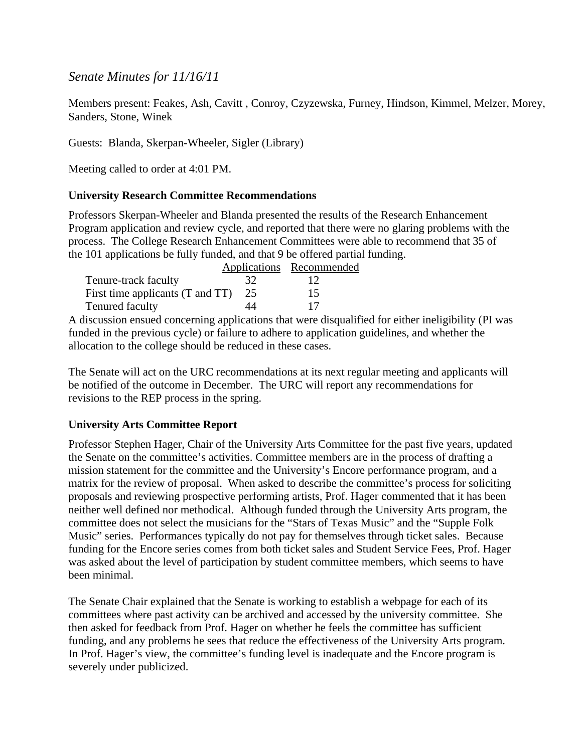# *Senate Minutes for 11/16/11*

Members present: Feakes, Ash, Cavitt , Conroy, Czyzewska, Furney, Hindson, Kimmel, Melzer, Morey, Sanders, Stone, Winek

Guests: Blanda, Skerpan-Wheeler, Sigler (Library)

Meeting called to order at 4:01 PM.

#### **University Research Committee Recommendations**

Professors Skerpan-Wheeler and Blanda presented the results of the Research Enhancement Program application and review cycle, and reported that there were no glaring problems with the process. The College Research Enhancement Committees were able to recommend that 35 of the 101 applications be fully funded, and that 9 be offered partial funding.

|                                  |    | Applications Recommended |
|----------------------------------|----|--------------------------|
| Tenure-track faculty             | 32 |                          |
| First time applicants (T and TT) | 25 | 15                       |
| Tenured faculty                  |    |                          |

A discussion ensued concerning applications that were disqualified for either ineligibility (PI was funded in the previous cycle) or failure to adhere to application guidelines, and whether the allocation to the college should be reduced in these cases.

The Senate will act on the URC recommendations at its next regular meeting and applicants will be notified of the outcome in December. The URC will report any recommendations for revisions to the REP process in the spring.

#### **University Arts Committee Report**

Professor Stephen Hager, Chair of the University Arts Committee for the past five years, updated the Senate on the committee's activities. Committee members are in the process of drafting a mission statement for the committee and the University's Encore performance program, and a matrix for the review of proposal. When asked to describe the committee's process for soliciting proposals and reviewing prospective performing artists, Prof. Hager commented that it has been neither well defined nor methodical. Although funded through the University Arts program, the committee does not select the musicians for the "Stars of Texas Music" and the "Supple Folk Music" series. Performances typically do not pay for themselves through ticket sales. Because funding for the Encore series comes from both ticket sales and Student Service Fees, Prof. Hager was asked about the level of participation by student committee members, which seems to have been minimal.

The Senate Chair explained that the Senate is working to establish a webpage for each of its committees where past activity can be archived and accessed by the university committee. She then asked for feedback from Prof. Hager on whether he feels the committee has sufficient funding, and any problems he sees that reduce the effectiveness of the University Arts program. In Prof. Hager's view, the committee's funding level is inadequate and the Encore program is severely under publicized.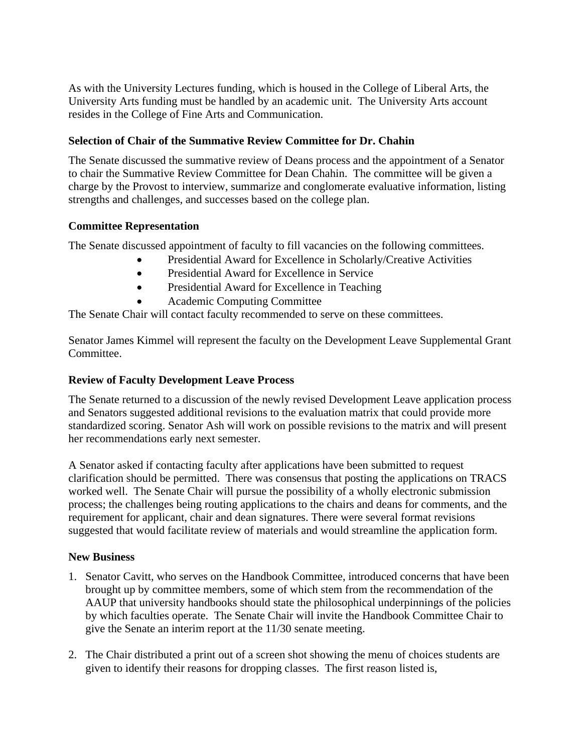As with the University Lectures funding, which is housed in the College of Liberal Arts, the University Arts funding must be handled by an academic unit. The University Arts account resides in the College of Fine Arts and Communication.

# **Selection of Chair of the Summative Review Committee for Dr. Chahin**

The Senate discussed the summative review of Deans process and the appointment of a Senator to chair the Summative Review Committee for Dean Chahin. The committee will be given a charge by the Provost to interview, summarize and conglomerate evaluative information, listing strengths and challenges, and successes based on the college plan.

#### **Committee Representation**

The Senate discussed appointment of faculty to fill vacancies on the following committees.

- Presidential Award for Excellence in Scholarly/Creative Activities
- Presidential Award for Excellence in Service
- Presidential Award for Excellence in Teaching
- Academic Computing Committee

The Senate Chair will contact faculty recommended to serve on these committees.

Senator James Kimmel will represent the faculty on the Development Leave Supplemental Grant Committee.

### **Review of Faculty Development Leave Process**

The Senate returned to a discussion of the newly revised Development Leave application process and Senators suggested additional revisions to the evaluation matrix that could provide more standardized scoring. Senator Ash will work on possible revisions to the matrix and will present her recommendations early next semester.

A Senator asked if contacting faculty after applications have been submitted to request clarification should be permitted. There was consensus that posting the applications on TRACS worked well. The Senate Chair will pursue the possibility of a wholly electronic submission process; the challenges being routing applications to the chairs and deans for comments, and the requirement for applicant, chair and dean signatures. There were several format revisions suggested that would facilitate review of materials and would streamline the application form.

## **New Business**

- 1. Senator Cavitt, who serves on the Handbook Committee, introduced concerns that have been brought up by committee members, some of which stem from the recommendation of the AAUP that university handbooks should state the philosophical underpinnings of the policies by which faculties operate. The Senate Chair will invite the Handbook Committee Chair to give the Senate an interim report at the 11/30 senate meeting.
- 2. The Chair distributed a print out of a screen shot showing the menu of choices students are given to identify their reasons for dropping classes. The first reason listed is,